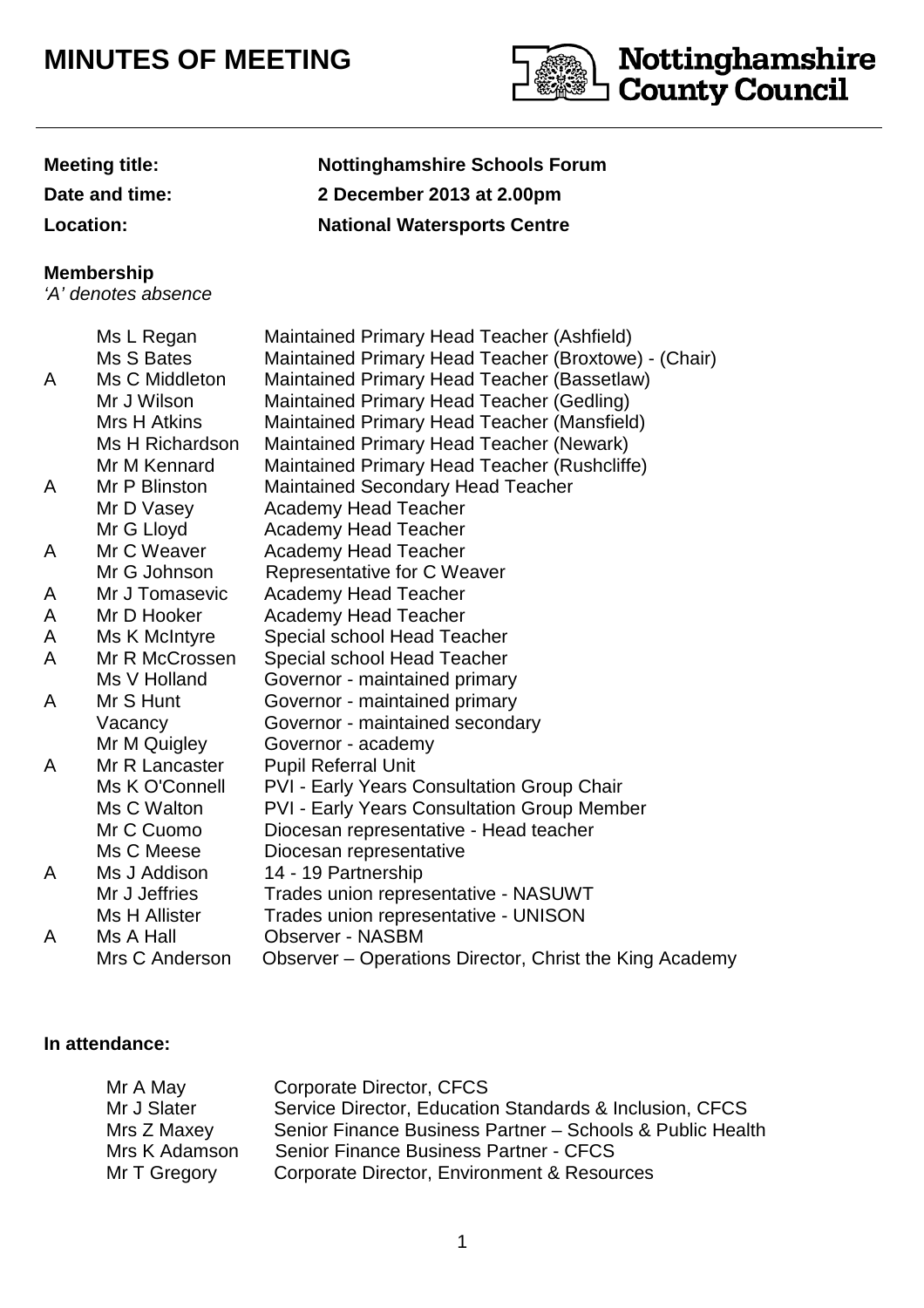## **MINUTES OF MEETING**



**Meeting title: Nottinghamshire Schools Forum Date and time: 2 December 2013 at 2.00pm Location: National Watersports Centre**

## **Membership**

'A' denotes absence

|   | Ms L Regan           | Maintained Primary Head Teacher (Ashfield)              |
|---|----------------------|---------------------------------------------------------|
|   | Ms S Bates           | Maintained Primary Head Teacher (Broxtowe) - (Chair)    |
| A | Ms C Middleton       | Maintained Primary Head Teacher (Bassetlaw)             |
|   | Mr J Wilson          | Maintained Primary Head Teacher (Gedling)               |
|   | Mrs H Atkins         | Maintained Primary Head Teacher (Mansfield)             |
|   | Ms H Richardson      | Maintained Primary Head Teacher (Newark)                |
|   | Mr M Kennard         | Maintained Primary Head Teacher (Rushcliffe)            |
| A | Mr P Blinston        | <b>Maintained Secondary Head Teacher</b>                |
|   | Mr D Vasey           | <b>Academy Head Teacher</b>                             |
|   | Mr G Lloyd           | <b>Academy Head Teacher</b>                             |
| A | Mr C Weaver          | <b>Academy Head Teacher</b>                             |
|   | Mr G Johnson         | Representative for C Weaver                             |
| A | Mr J Tomasevic       | <b>Academy Head Teacher</b>                             |
| A | Mr D Hooker          | <b>Academy Head Teacher</b>                             |
| A | Ms K McIntyre        | Special school Head Teacher                             |
| A | Mr R McCrossen       | Special school Head Teacher                             |
|   | Ms V Holland         | Governor - maintained primary                           |
| A | Mr S Hunt            | Governor - maintained primary                           |
|   | Vacancy              | Governor - maintained secondary                         |
|   | Mr M Quigley         | Governor - academy                                      |
| A | Mr R Lancaster       | <b>Pupil Referral Unit</b>                              |
|   | Ms K O'Connell       | <b>PVI - Early Years Consultation Group Chair</b>       |
|   | Ms C Walton          | <b>PVI - Early Years Consultation Group Member</b>      |
|   | Mr C Cuomo           | Diocesan representative - Head teacher                  |
|   | Ms C Meese           | Diocesan representative                                 |
| A | Ms J Addison         | 14 - 19 Partnership                                     |
|   | Mr J Jeffries        | Trades union representative - NASUWT                    |
|   | <b>Ms H Allister</b> | Trades union representative - UNISON                    |
| A | Ms A Hall            | <b>Observer - NASBM</b>                                 |
|   | Mrs C Anderson       | Observer - Operations Director, Christ the King Academy |

## **In attendance:**

| Mr A May      | Corporate Director, CFCS                                  |
|---------------|-----------------------------------------------------------|
| Mr J Slater   | Service Director, Education Standards & Inclusion, CFCS   |
| Mrs Z Maxey   | Senior Finance Business Partner - Schools & Public Health |
| Mrs K Adamson | Senior Finance Business Partner - CFCS                    |
| Mr T Gregory  | Corporate Director, Environment & Resources               |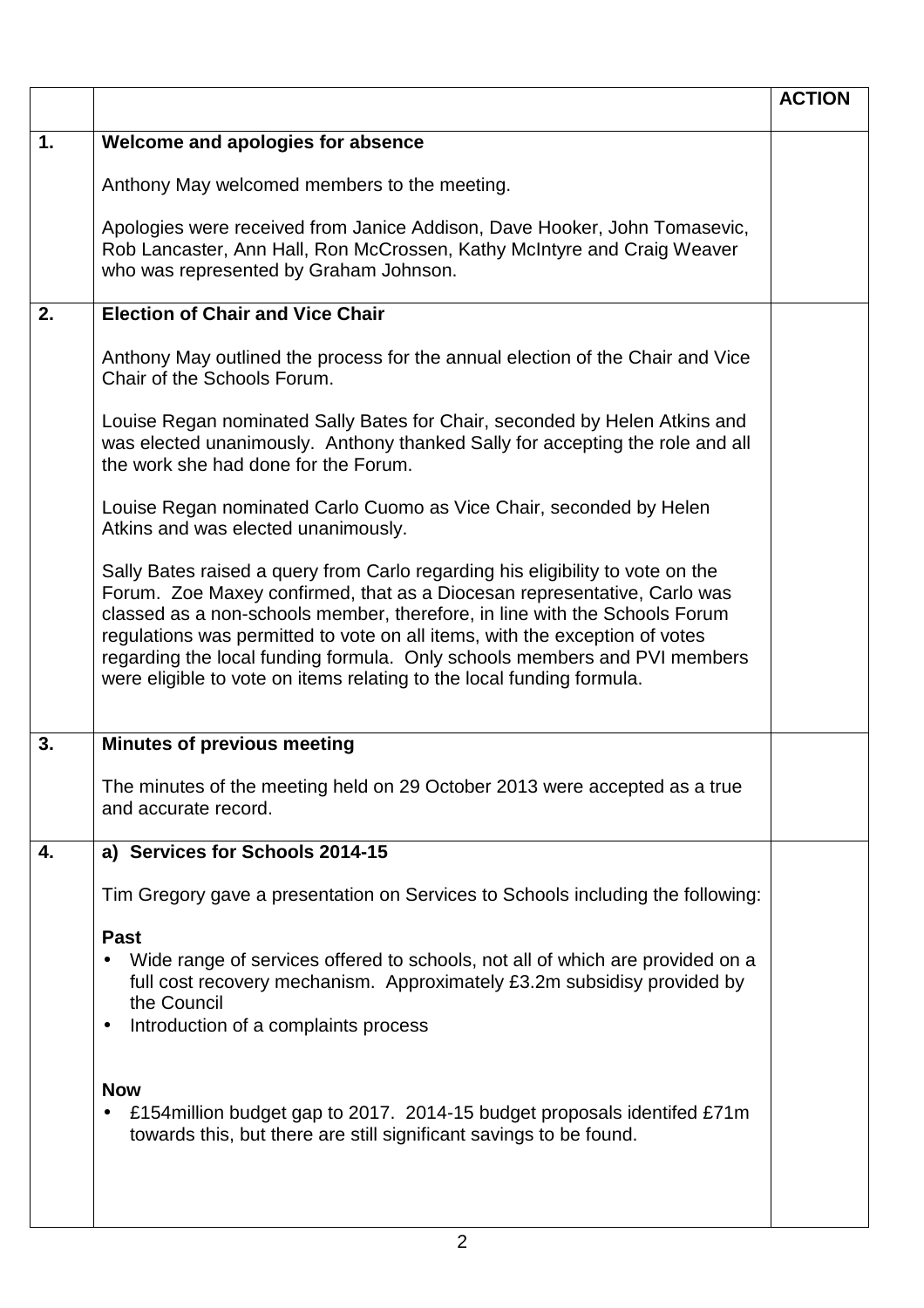|    |                                                                                                                                                                                                                                                                                                                                                                                                                                                                               | <b>ACTION</b> |
|----|-------------------------------------------------------------------------------------------------------------------------------------------------------------------------------------------------------------------------------------------------------------------------------------------------------------------------------------------------------------------------------------------------------------------------------------------------------------------------------|---------------|
| 1. | Welcome and apologies for absence                                                                                                                                                                                                                                                                                                                                                                                                                                             |               |
|    | Anthony May welcomed members to the meeting.                                                                                                                                                                                                                                                                                                                                                                                                                                  |               |
|    | Apologies were received from Janice Addison, Dave Hooker, John Tomasevic,<br>Rob Lancaster, Ann Hall, Ron McCrossen, Kathy McIntyre and Craig Weaver<br>who was represented by Graham Johnson.                                                                                                                                                                                                                                                                                |               |
| 2. | <b>Election of Chair and Vice Chair</b>                                                                                                                                                                                                                                                                                                                                                                                                                                       |               |
|    | Anthony May outlined the process for the annual election of the Chair and Vice<br>Chair of the Schools Forum.                                                                                                                                                                                                                                                                                                                                                                 |               |
|    | Louise Regan nominated Sally Bates for Chair, seconded by Helen Atkins and<br>was elected unanimously. Anthony thanked Sally for accepting the role and all<br>the work she had done for the Forum.                                                                                                                                                                                                                                                                           |               |
|    | Louise Regan nominated Carlo Cuomo as Vice Chair, seconded by Helen<br>Atkins and was elected unanimously.                                                                                                                                                                                                                                                                                                                                                                    |               |
|    | Sally Bates raised a query from Carlo regarding his eligibility to vote on the<br>Forum. Zoe Maxey confirmed, that as a Diocesan representative, Carlo was<br>classed as a non-schools member, therefore, in line with the Schools Forum<br>regulations was permitted to vote on all items, with the exception of votes<br>regarding the local funding formula. Only schools members and PVI members<br>were eligible to vote on items relating to the local funding formula. |               |
| 3. | <b>Minutes of previous meeting</b>                                                                                                                                                                                                                                                                                                                                                                                                                                            |               |
|    | The minutes of the meeting held on 29 October 2013 were accepted as a true<br>and accurate record.                                                                                                                                                                                                                                                                                                                                                                            |               |
| 4. | a) Services for Schools 2014-15                                                                                                                                                                                                                                                                                                                                                                                                                                               |               |
|    | Tim Gregory gave a presentation on Services to Schools including the following:                                                                                                                                                                                                                                                                                                                                                                                               |               |
|    | <b>Past</b><br>Wide range of services offered to schools, not all of which are provided on a<br>full cost recovery mechanism. Approximately £3.2m subsidisy provided by<br>the Council<br>Introduction of a complaints process<br>$\bullet$                                                                                                                                                                                                                                   |               |
|    | <b>Now</b><br>£154 million budget gap to 2017. 2014-15 budget proposals identifed £71 m<br>towards this, but there are still significant savings to be found.                                                                                                                                                                                                                                                                                                                 |               |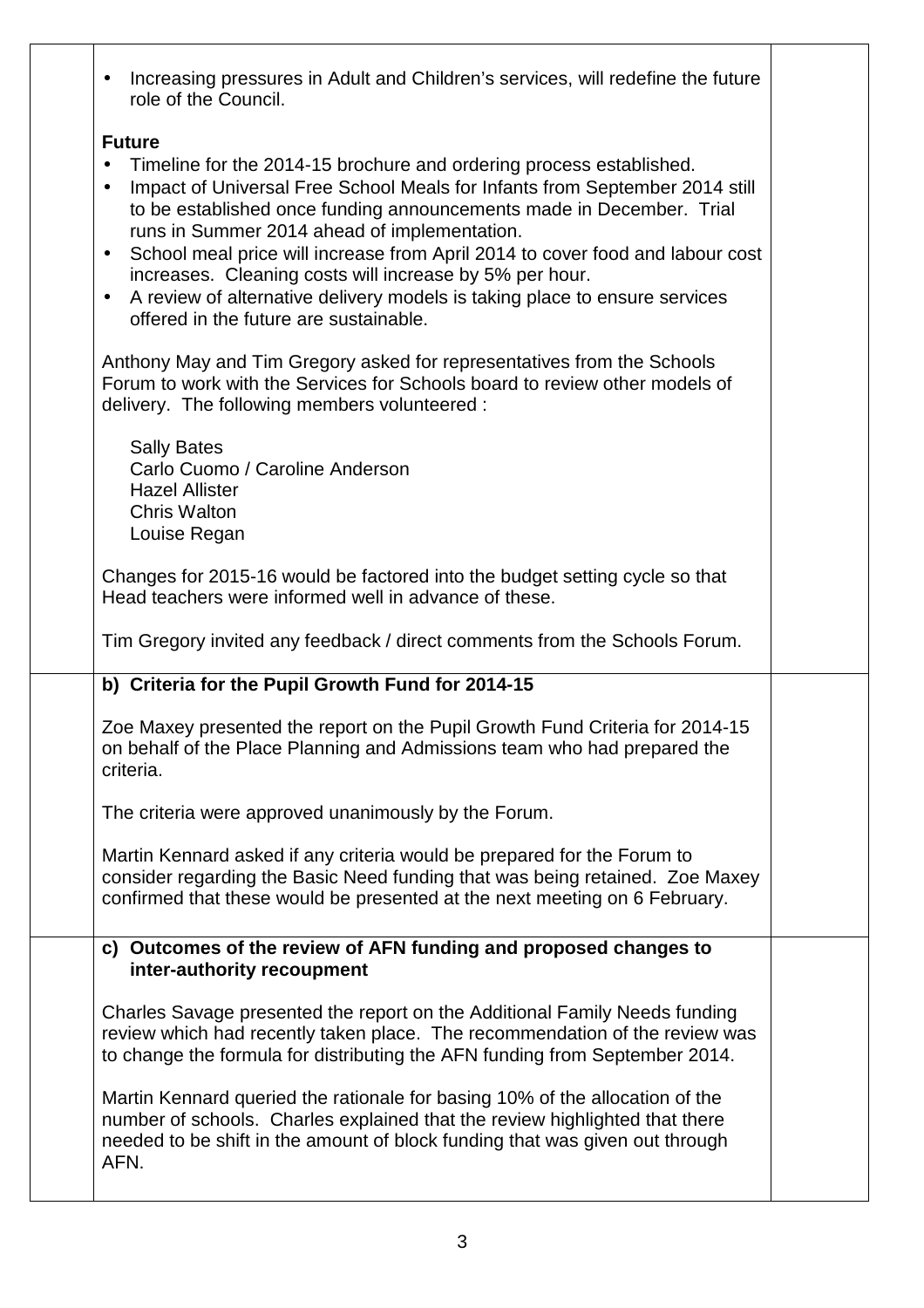| Increasing pressures in Adult and Children's services, will redefine the future<br>$\bullet$<br>role of the Council.                                                                                                                                                                                                                                                                                                                                                                                                                                                                                                |  |
|---------------------------------------------------------------------------------------------------------------------------------------------------------------------------------------------------------------------------------------------------------------------------------------------------------------------------------------------------------------------------------------------------------------------------------------------------------------------------------------------------------------------------------------------------------------------------------------------------------------------|--|
| <b>Future</b><br>Timeline for the 2014-15 brochure and ordering process established.<br>$\bullet$<br>Impact of Universal Free School Meals for Infants from September 2014 still<br>$\bullet$<br>to be established once funding announcements made in December. Trial<br>runs in Summer 2014 ahead of implementation.<br>School meal price will increase from April 2014 to cover food and labour cost<br>$\bullet$<br>increases. Cleaning costs will increase by 5% per hour.<br>A review of alternative delivery models is taking place to ensure services<br>$\bullet$<br>offered in the future are sustainable. |  |
| Anthony May and Tim Gregory asked for representatives from the Schools<br>Forum to work with the Services for Schools board to review other models of<br>delivery. The following members volunteered :                                                                                                                                                                                                                                                                                                                                                                                                              |  |
| <b>Sally Bates</b><br>Carlo Cuomo / Caroline Anderson<br><b>Hazel Allister</b><br><b>Chris Walton</b><br>Louise Regan                                                                                                                                                                                                                                                                                                                                                                                                                                                                                               |  |
| Changes for 2015-16 would be factored into the budget setting cycle so that<br>Head teachers were informed well in advance of these.                                                                                                                                                                                                                                                                                                                                                                                                                                                                                |  |
| Tim Gregory invited any feedback / direct comments from the Schools Forum.                                                                                                                                                                                                                                                                                                                                                                                                                                                                                                                                          |  |
| b) Criteria for the Pupil Growth Fund for 2014-15                                                                                                                                                                                                                                                                                                                                                                                                                                                                                                                                                                   |  |
| Zoe Maxey presented the report on the Pupil Growth Fund Criteria for 2014-15<br>on behalf of the Place Planning and Admissions team who had prepared the<br>criteria.                                                                                                                                                                                                                                                                                                                                                                                                                                               |  |
| The criteria were approved unanimously by the Forum.                                                                                                                                                                                                                                                                                                                                                                                                                                                                                                                                                                |  |
| Martin Kennard asked if any criteria would be prepared for the Forum to<br>consider regarding the Basic Need funding that was being retained. Zoe Maxey<br>confirmed that these would be presented at the next meeting on 6 February.                                                                                                                                                                                                                                                                                                                                                                               |  |
| c) Outcomes of the review of AFN funding and proposed changes to<br>inter-authority recoupment                                                                                                                                                                                                                                                                                                                                                                                                                                                                                                                      |  |
| Charles Savage presented the report on the Additional Family Needs funding<br>review which had recently taken place. The recommendation of the review was<br>to change the formula for distributing the AFN funding from September 2014.                                                                                                                                                                                                                                                                                                                                                                            |  |
| Martin Kennard queried the rationale for basing 10% of the allocation of the<br>number of schools. Charles explained that the review highlighted that there<br>needed to be shift in the amount of block funding that was given out through<br>AFN.                                                                                                                                                                                                                                                                                                                                                                 |  |

Τ

T